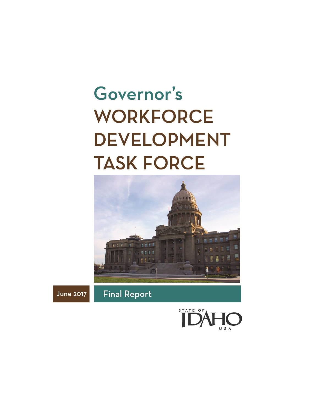# Governor's **WORKFORCE DEVELOPMENT TASK FORCE**



**June 2017** 

**Final Report** 

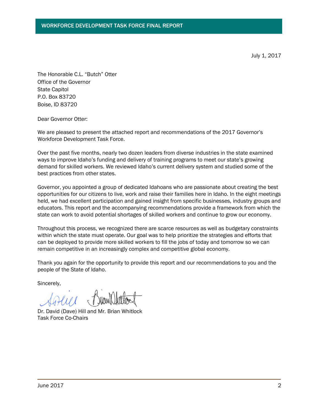July 1, 2017

The Honorable C.L. "Butch" Otter Office of the Governor State Capitol P.O. Box 83720 Boise, ID 83720

Dear Governor Otter:

We are pleased to present the attached report and recommendations of the 2017 Governor's Workforce Development Task Force.

Over the past five months, nearly two dozen leaders from diverse industries in the state examined ways to improve Idaho's funding and delivery of training programs to meet our state's growing demand for skilled workers. We reviewed Idaho's current delivery system and studied some of the best practices from other states.

Governor, you appointed a group of dedicated Idahoans who are passionate about creating the best opportunities for our citizens to live, work and raise their families here in Idaho. In the eight meetings held, we had excellent participation and gained insight from specific businesses, industry groups and educators. This report and the accompanying recommendations provide a framework from which the state can work to avoid potential shortages of skilled workers and continue to grow our economy.

Throughout this process, we recognized there are scarce resources as well as budgetary constraints within which the state must operate. Our goal was to help prioritize the strategies and efforts that can be deployed to provide more skilled workers to fill the jobs of today and tomorrow so we can remain competitive in an increasingly complex and competitive global economy.

Thank you again for the opportunity to provide this report and our recommendations to you and the people of the State of Idaho.

Sincerely,

Dr. David (Dave) Hill and Mr. Brian Whitlock Task Force Co-Chairs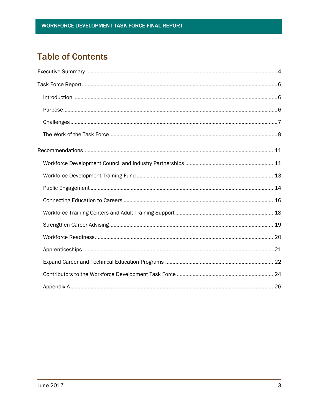# **Table of Contents**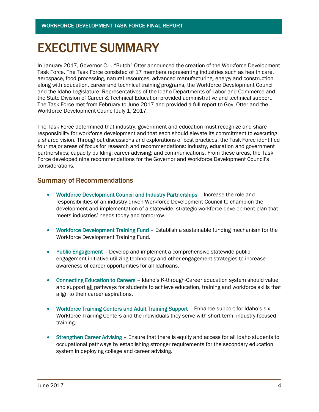# EXECUTIVE SUMMARY

In January 2017, Governor C.L. "Butch" Otter announced the creation of the Workforce Development Task Force. The Task Force consisted of 17 members representing industries such as health care, aerospace, food processing, natural resources, advanced manufacturing, energy and construction along with education, career and technical training programs, the Workforce Development Council and the Idaho Legislature. Representatives of the Idaho Departments of Labor and Commerce and the State Division of Career & Technical Education provided administrative and technical support. The Task Force met from February to June 2017 and provided a full report to Gov. Otter and the Workforce Development Council July 1, 2017.

The Task Force determined that industry, government and education must recognize and share responsibility for workforce development and that each should elevate its commitment to executing a shared vision. Throughout discussions and explorations of best practices, the Task Force identified four major areas of focus for research and recommendations: industry, education and government partnerships; capacity building; career advising; and communications. From these areas, the Task Force developed nine recommendations for the Governor and Workforce Development Council's considerations.

### Summary of Recommendations

- Workforce Development Council and Industry Partnerships Increase the role and responsibilities of an industry-driven Workforce Development Council to champion the development and implementation of a statewide, strategic workforce development plan that meets industries' needs today and tomorrow.
- Workforce Development Training Fund Establish a sustainable funding mechanism for the Workforce Development Training Fund.
- Public Engagement Develop and implement a comprehensive statewide public engagement initiative utilizing technology and other engagement strategies to increase awareness of career opportunities for all Idahoans.
- Connecting Education to Careers Idaho's K-through-Career education system should value and support all pathways for students to achieve education, training and workforce skills that align to their career aspirations.
- Workforce Training Centers and Adult Training Support Enhance support for Idaho's six Workforce Training Centers and the individuals they serve with short-term, industry-focused training.
- Strengthen Career Advising Ensure that there is equity and access for all Idaho students to occupational pathways by establishing stronger requirements for the secondary education system in deploying college and career advising.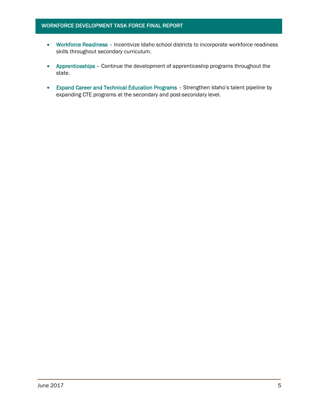- Workforce Readiness Incentivize Idaho school districts to incorporate workforce readiness skills throughout secondary curriculum.
- Apprenticeships Continue the development of apprenticeship programs throughout the state.
- Expand Career and Technical Education Programs Strengthen Idaho's talent pipeline by expanding CTE programs at the secondary and post-secondary level.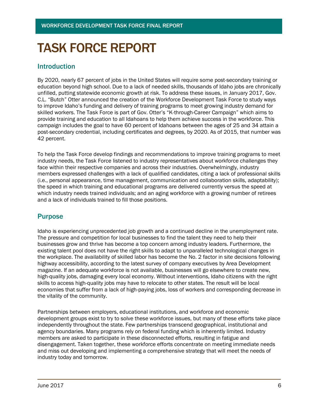# TASK FORCE REPORT

### Introduction

By 2020, nearly 67 percent of jobs in the United States will require some post-secondary training or education beyond high school. Due to a lack of needed skills, thousands of Idaho jobs are chronically unfilled, putting statewide economic growth at risk. To address these issues, in January 2017, Gov. C.L. "Butch" Otter announced the creation of the Workforce Development Task Force to study ways to improve Idaho's funding and delivery of training programs to meet growing industry demand for skilled workers. The Task Force is part of Gov. Otter's "K-through-Career Campaign" which aims to provide training and education to all Idahoans to help them achieve success in the workforce. This campaign includes the goal to have 60 percent of Idahoans between the ages of 25 and 34 attain a post-secondary credential, including certificates and degrees, by 2020. As of 2015, that number was 42 percent.

To help the Task Force develop findings and recommendations to improve training programs to meet industry needs, the Task Force listened to industry representatives about workforce challenges they face within their respective companies and across their industries. Overwhelmingly, industry members expressed challenges with a lack of qualified candidates, citing a lack of professional skills (i.e., personal appearance, time management, communication and collaboration skills, adaptability); the speed in which training and educational programs are delivered currently versus the speed at which industry needs trained individuals; and an aging workforce with a growing number of retirees and a lack of individuals trained to fill those positions.

### Purpose

Idaho is experiencing unprecedented job growth and a continued decline in the unemployment rate. The pressure and competition for local businesses to find the talent they need to help their businesses grow and thrive has become a top concern among industry leaders. Furthermore, the existing talent pool does not have the right skills to adapt to unparalleled technological changes in the workplace. The availability of skilled labor has become the No. 2 factor in site decisions following highway accessibility, according to the latest survey of company executives by Area Development magazine. If an adequate workforce is not available, businesses will go elsewhere to create new, high-quality jobs, damaging every local economy. Without interventions, Idaho citizens with the right skills to access high-quality jobs may have to relocate to other states. The result will be local economies that suffer from a lack of high-paying jobs, loss of workers and corresponding decrease in the vitality of the community.

Partnerships between employers, educational institutions, and workforce and economic development groups exist to try to solve these workforce issues, but many of these efforts take place independently throughout the state. Few partnerships transcend geographical, institutional and agency boundaries. Many programs rely on federal funding which is inherently limited. Industry members are asked to participate in these disconnected efforts, resulting in fatigue and disengagement. Taken together, these workforce efforts concentrate on meeting immediate needs and miss out developing and implementing a comprehensive strategy that will meet the needs of industry today and tomorrow.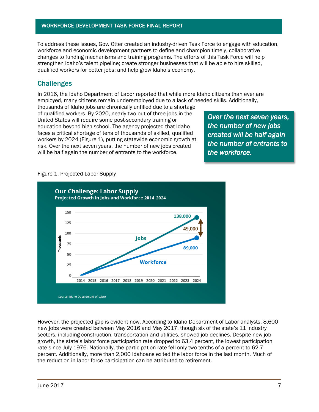To address these issues, Gov. Otter created an industry-driven Task Force to engage with education, workforce and economic development partners to define and champion timely, collaborative changes to funding mechanisms and training programs. The efforts of this Task Force will help strengthen Idaho's talent pipeline; create stronger businesses that will be able to hire skilled, qualified workers for better jobs; and help grow Idaho's economy.

### **Challenges**

In 2016, the Idaho Department of Labor reported that while more Idaho citizens than ever are employed, many citizens remain underemployed due to a lack of needed skills. Additionally,

thousands of Idaho jobs are chronically unfilled due to a shortage of qualified workers. By 2020, nearly two out of three jobs in the United States will require some post-secondary training or education beyond high school. The agency projected that Idaho faces a critical shortage of tens of thousands of skilled, qualified workers by 2024 (Figure 1), putting statewide economic growth at risk. Over the next seven years, the number of new jobs created will be half again the number of entrants to the workforce.

*Over the next seven years, the number of new jobs created will be half again the number of entrants to the workforce.* 

#### Figure 1. Projected Labor Supply



However, the projected gap is evident now. According to Idaho Department of Labor analysts, 8,600 new jobs were created between May 2016 and May 2017, though six of the state's 11 industry sectors, including construction, transportation and utilities, showed job declines. Despite new job growth, the state's labor force participation rate dropped to 63.4 percent, the lowest participation rate since July 1976. Nationally, the participation rate fell only two-tenths of a percent to 62.7 percent. Additionally, more than 2,000 Idahoans exited the labor force in the last month. Much of the reduction in labor force participation can be attributed to retirement.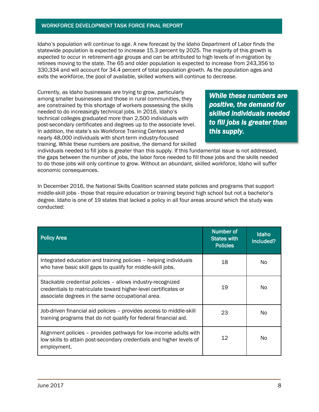Idaho's population will continue to age. A new forecast by the Idaho Department of Labor finds the statewide population is expected to increase 15.3 percent by 2025. The majority of this growth is expected to occur in retirement-age groups and can be attributed to high levels of in-migration by retirees moving to the state. The 65 and older population is expected to increase from 243,356 to 330,334 and will account for 34.4 percent of total population growth. As the population ages and exits the workforce, the pool of available, skilled workers will continue to decrease.

Currently, as Idaho businesses are trying to grow, particularly among smaller businesses and those in rural communities, they are constrained by this shortage of workers possessing the skills needed to do increasingly technical jobs. In 2016, Idaho's technical colleges graduated more than 2,500 individuals with post-secondary certificates and degrees up to the associate level. In addition, the state's six Workforce Training Centers served nearly 48,000 individuals with short-term industry-focused training. While these numbers are positive, the demand for skilled

*While these numbers are positive, the demand for skilled individuals needed to fill jobs is greater than this supply.* 

individuals needed to fill jobs is greater than this supply. If this fundamental issue is not addressed, the gaps between the number of jobs, the labor force needed to fill those jobs and the skills needed to do those jobs will only continue to grow. Without an abundant, skilled workforce, Idaho will suffer economic consequences.

In December 2016, the National Skills Coalition scanned state policies and programs that support middle-skill jobs - those that require education or training beyond high school but not a bachelor's degree. Idaho is one of 19 states that lacked a policy in all four areas around which the study was conducted:

| <b>Policy Area</b>                                                                                                                                                               | Number of<br><b>States with</b><br><b>Policies</b> | <b>Idaho</b><br>Included? |
|----------------------------------------------------------------------------------------------------------------------------------------------------------------------------------|----------------------------------------------------|---------------------------|
| Integrated education and training policies - helping individuals<br>who have basic skill gaps to qualify for middle-skill jobs.                                                  | 18                                                 | No.                       |
| Stackable credential policies - allows industry-recognized<br>credentials to matriculate toward higher-level certificates or<br>associate degrees in the same occupational area. | 19                                                 | No                        |
| Job-driven financial aid policies – provides access to middle-skill<br>training programs that do not qualify for federal financial aid.                                          | 23                                                 | No.                       |
| Alignment policies - provides pathways for low-income adults with<br>low skills to attain post-secondary credentials and higher levels of<br>employment.                         | 12                                                 | No                        |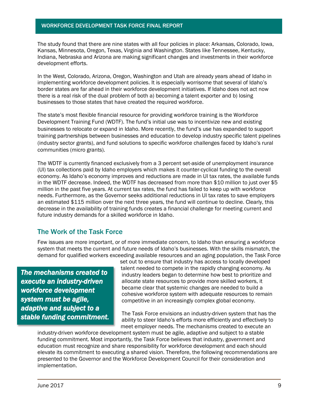The study found that there are nine states with all four policies in place: Arkansas, Colorado, Iowa, Kansas, Minnesota, Oregon, Texas, Virginia and Washington. States like Tennessee, Kentucky, Indiana, Nebraska and Arizona are making significant changes and investments in their workforce development efforts.

In the West, Colorado, Arizona, Oregon, Washington and Utah are already years ahead of Idaho in implementing workforce development policies. It is especially worrisome that several of Idaho's border states are far ahead in their workforce development initiatives. If Idaho does not act now there is a real risk of the dual problem of both a) becoming a talent exporter and b) losing businesses to those states that have created the required workforce.

The state's most flexible financial resource for providing workforce training is the Workforce Development Training Fund (WDTF). The fund's initial use was to incentivize new and existing businesses to relocate or expand in Idaho. More recently, the fund's use has expanded to support training partnerships between businesses and education to develop industry specific talent pipelines (industry sector grants), and fund solutions to specific workforce challenges faced by Idaho's rural communities (micro grants).

The WDTF is currently financed exclusively from a 3 percent set-aside of unemployment insurance (UI) tax collections paid by Idaho employers which makes it counter-cyclical funding to the overall economy. As Idaho's economy improves and reductions are made in UI tax rates, the available funds in the WDTF decrease. Indeed, the WDTF has decreased from more than \$10 million to just over \$5 million in the past five years. At current tax rates, the fund has failed to keep up with workforce needs. Furthermore, as the Governor seeks additional reductions in UI tax rates to save employers an estimated \$115 million over the next three years, the fund will continue to decline. Clearly, this decrease in the availability of training funds creates a financial challenge for meeting current and future industry demands for a skilled workforce in Idaho.

### The Work of the Task Force

Few issues are more important, or of more immediate concern, to Idaho than ensuring a workforce system that meets the current and future needs of Idaho's businesses. With the skills mismatch, the demand for qualified workers exceeding available resources and an aging population, the Task Force

*The mechanisms created to execute an industry-driven workforce development system must be agile, adaptive and subject to a stable funding commitment.* set out to ensure that industry has access to locally developed talent needed to compete in the rapidly changing economy. As industry leaders began to determine how best to prioritize and allocate state resources to provide more skilled workers, it became clear that systemic changes are needed to build a cohesive workforce system with adequate resources to remain competitive in an increasingly complex global economy.

The Task Force envisions an industry-driven system that has the ability to steer Idaho's efforts more efficiently and effectively to meet employer needs. The mechanisms created to execute an

industry-driven workforce development system must be agile, adaptive and subject to a stable funding commitment. Most importantly, the Task Force believes that industry, government and education must recognize and share responsibility for workforce development and each should elevate its commitment to executing a shared vision. Therefore, the following recommendations are presented to the Governor and the Workforce Development Council for their consideration and implementation.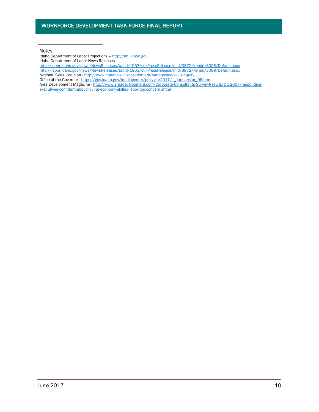Notes:

Idaho Department of Labor Projections – [http://lmi.idaho.gov](http://lmi.idaho.gov/) Idaho Department of Labor News Releases –

- <http://labor.idaho.gov/news/NewsReleases/tabid/1953/ctl/PressRelease/mid/3872/itemid/3098/Default.aspx>
- <http://labor.idaho.gov/news/NewsReleases/tabid/1953/ctl/PressRelease/mid/3872/itemid/3089/Default.aspx>
- National Skills Coalition <http://www.nationalskillscoalition.org/state-policy/skills-equity>
- Office of the Governor [https://gov.idaho.gov/mediacenter/press/pr2017/1\\_January/pr\\_06.html](https://gov.idaho.gov/mediacenter/press/pr2017/1_January/pr_06.html)
- Area Development Magazine http://www.areadevelopment.com/Corporate-Consultants-Survey-Results/Q1-2017/respondingexecutives-confident-about-Trump-economy-skilled-labor-top-concern.shtml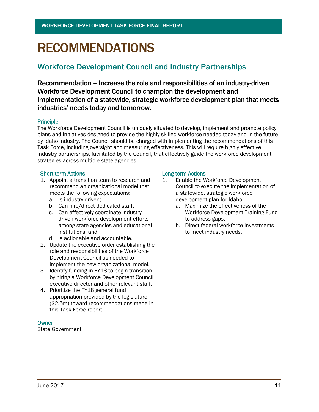# RECOMMENDATIONS

## Workforce Development Council and Industry Partnerships

Recommendation – Increase the role and responsibilities of an industry-driven Workforce Development Council to champion the development and implementation of a statewide, strategic workforce development plan that meets industries' needs today and tomorrow.

#### **Principle**

The Workforce Development Council is uniquely situated to develop, implement and promote policy, plans and initiatives designed to provide the highly skilled workforce needed today and in the future by Idaho industry. The Council should be charged with implementing the recommendations of this Task Force, including oversight and measuring effectiveness. This will require highly effective industry partnerships, facilitated by the Council, that effectively guide the workforce development strategies across multiple state agencies.

#### Short-term Actions **Long-term Actions**

- 1. Appoint a transition team to research and recommend an organizational model that meets the following expectations:
	- a. Is industry-driven;
	- b. Can hire/direct dedicated staff;
	- c. Can effectively coordinate industrydriven workforce development efforts among state agencies and educational institutions; and
	- d. Is actionable and accountable.
- 2. Update the executive order establishing the role and responsibilities of the Workforce Development Council as needed to implement the new organizational model.
- 3. Identify funding in FY18 to begin transition by hiring a Workforce Development Council executive director and other relevant staff.
- 4. Prioritize the FY18 general fund appropriation provided by the legislature (\$2.5m) toward recommendations made in this Task Force report.

#### **Owner**

State Government

- 1. Enable the Workforce Development Council to execute the implementation of a statewide, strategic workforce development plan for Idaho.
	- a. Maximize the effectiveness of the Workforce Development Training Fund to address gaps.
	- b. Direct federal workforce investments to meet industry needs.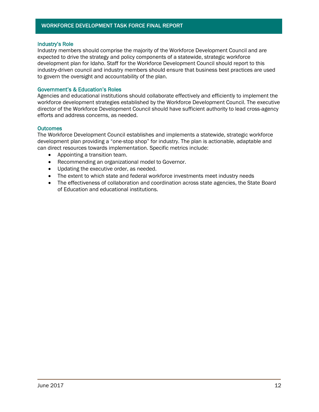#### Industry's Role

Industry members should comprise the majority of the Workforce Development Council and are expected to drive the strategy and policy components of a statewide, strategic workforce development plan for Idaho. Staff for the Workforce Development Council should report to this industry-driven council and industry members should ensure that business best practices are used to govern the oversight and accountability of the plan.

#### Government's & Education's Roles

Agencies and educational institutions should collaborate effectively and efficiently to implement the workforce development strategies established by the Workforce Development Council. The executive director of the Workforce Development Council should have sufficient authority to lead cross-agency efforts and address concerns, as needed.

#### **Outcomes**

The Workforce Development Council establishes and implements a statewide, strategic workforce development plan providing a "one-stop shop" for industry. The plan is actionable, adaptable and can direct resources towards implementation. Specific metrics include:

- Appointing a transition team.
- Recommending an organizational model to Governor.
- Updating the executive order, as needed.
- The extent to which state and federal workforce investments meet industry needs
- The effectiveness of collaboration and coordination across state agencies, the State Board of Education and educational institutions.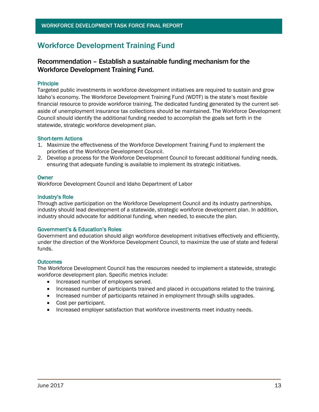## Workforce Development Training Fund

### Recommendation – Establish a sustainable funding mechanism for the Workforce Development Training Fund.

#### Principle

Targeted public investments in workforce development initiatives are required to sustain and grow Idaho's economy. The Workforce Development Training Fund (WDTF) is the state's most flexible financial resource to provide workforce training. The dedicated funding generated by the current setaside of unemployment insurance tax collections should be maintained. The Workforce Development Council should identify the additional funding needed to accomplish the goals set forth in the statewide, strategic workforce development plan.

#### Short-term Actions

- 1. Maximize the effectiveness of the Workforce Development Training Fund to implement the priorities of the Workforce Development Council.
- 2. Develop a process for the Workforce Development Council to forecast additional funding needs, ensuring that adequate funding is available to implement its strategic initiatives.

#### **Owner**

Workforce Development Council and Idaho Department of Labor

#### Industry's Role

Through active participation on the Workforce Development Council and its industry partnerships, industry should lead development of a statewide, strategic workforce development plan. In addition, industry should advocate for additional funding, when needed, to execute the plan.

#### Government's & Education's Roles

Government and education should align workforce development initiatives effectively and efficiently, under the direction of the Workforce Development Council, to maximize the use of state and federal funds.

#### **Outcomes**

The Workforce Development Council has the resources needed to implement a statewide, strategic workforce development plan. Specific metrics include:

- Increased number of employers served.
- Increased number of participants trained and placed in occupations related to the training.
- Increased number of participants retained in employment through skills upgrades.
- Cost per participant.
- Increased employer satisfaction that workforce investments meet industry needs.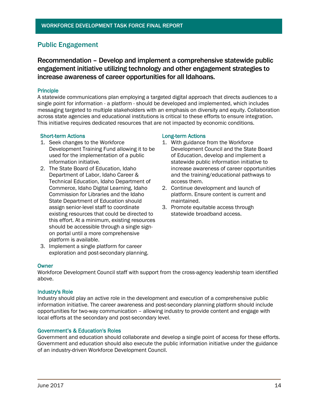### Public Engagement

Recommendation – Develop and implement a comprehensive statewide public engagement initiative utilizing technology and other engagement strategies to increase awareness of career opportunities for all Idahoans.

#### Principle

A statewide communications plan employing a targeted digital approach that directs audiences to a single point for information - a platform - should be developed and implemented, which includes messaging targeted to multiple stakeholders with an emphasis on diversity and equity. Collaboration across state agencies and educational institutions is critical to these efforts to ensure integration. This initiative requires dedicated resources that are not impacted by economic conditions.

#### Short-term Actions **Long-term Actions**

- 1. Seek changes to the Workforce Development Training Fund allowing it to be used for the implementation of a public information initiative.
- 2. The State Board of Education, Idaho Department of Labor, Idaho Career & Technical Education, Idaho Department of Commerce, Idaho Digital Learning, Idaho Commission for Libraries and the Idaho State Department of Education should assign senior-level staff to coordinate existing resources that could be directed to this effort. At a minimum, existing resources should be accessible through a single signon portal until a more comprehensive platform is available.
- 3. Implement a single platform for career exploration and post-secondary planning.

#### **Owner**

Workforce Development Council staff with support from the cross-agency leadership team identified above.

#### Industry's Role

Industry should play an active role in the development and execution of a comprehensive public information initiative. The career awareness and post-secondary planning platform should include opportunities for two-way communication – allowing industry to provide content and engage with local efforts at the secondary and post-secondary level.

#### Government's & Education's Roles

Government and education should collaborate and develop a single point of access for these efforts. Government and education should also execute the public information initiative under the guidance of an industry-driven Workforce Development Council.

- 1. With guidance from the Workforce Development Council and the State Board of Education, develop and implement a statewide public information initiative to increase awareness of career opportunities and the training/educational pathways to access them.
- 2. Continue development and launch of platform. Ensure content is current and maintained.
- 3. Promote equitable access through statewide broadband access.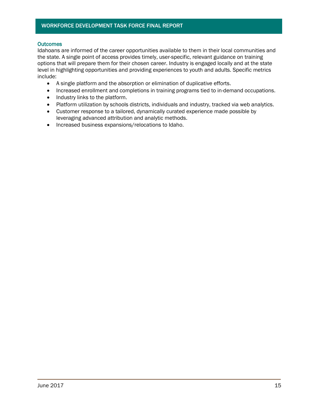#### **Outcomes**

Idahoans are informed of the career opportunities available to them in their local communities and the state. A single point of access provides timely, user-specific, relevant guidance on training options that will prepare them for their chosen career. Industry is engaged locally and at the state level in highlighting opportunities and providing experiences to youth and adults. Specific metrics include:

- A single platform and the absorption or elimination of duplicative efforts.
- Increased enrollment and completions in training programs tied to in-demand occupations.
- Industry links to the platform.
- Platform utilization by schools districts, individuals and industry, tracked via web analytics.
- Customer response to a tailored, dynamically curated experience made possible by leveraging advanced attribution and analytic methods.
- Increased business expansions/relocations to Idaho.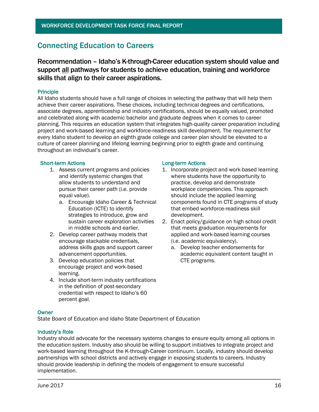## Connecting Education to Careers

Recommendation – Idaho's K-through-Career education system should value and support all pathways for students to achieve education, training and workforce skills that align to their career aspirations.

#### Principle

All Idaho students should have a full range of choices in selecting the pathway that will help them achieve their career aspirations. These choices, including technical degrees and certifications, associate degrees, apprenticeship and industry certifications, should be equally valued, promoted and celebrated along with academic bachelor and graduate degrees when it comes to career planning. This requires an education system that integrates high-quality career preparation including project and work-based learning and workforce-readiness skill development. The requirement for every Idaho student to develop an eighth grade college and career plan should be elevated to a culture of career planning and lifelong learning beginning prior to eighth grade and continuing throughout an individual's career.

#### Short-term Actions **Long-term Actions**

- 1. Assess current programs and policies and identify systemic changes that allow students to understand and pursue their career path (i.e. provide equal value).
	- a. Encourage Idaho Career & Technical Education (ICTE) to identify strategies to introduce, grow and sustain career exploration activities in middle schools and earlier.
- 2. Develop career pathway models that encourage stackable credentials, address skills gaps and support career advancement opportunities.
- 3. Develop education policies that encourage project and work-based learning.
- 4. Include short-term industry certifications in the definition of post-secondary credential with respect to Idaho's 60 percent goal.

- 1. Incorporate project and work-based learning where students have the opportunity to practice, develop and demonstrate workplace competencies. This approach should include the applied learning components found in CTE programs of study that embed workforce-readiness skill development.
- 2. Enact policy/guidance on high school credit that meets graduation requirements for applied and work-based learning courses (i.e. academic equivalency).
	- a. Develop teacher endorsements for academic equivalent content taught in CTE programs.

#### **Owner**

State Board of Education and Idaho State Department of Education

#### Industry's Role

Industry should advocate for the necessary systems changes to ensure equity among all options in the education system. Industry also should be willing to support initiatives to integrate project and work-based learning throughout the K-through-Career continuum. Locally, industry should develop partnerships with school districts and actively engage in exposing students to careers. Industry should provide leadership in defining the models of engagement to ensure successful implementation.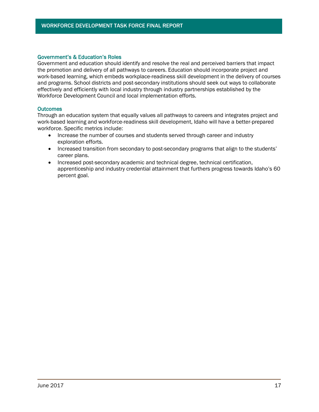#### Government's & Education's Roles

Government and education should identify and resolve the real and perceived barriers that impact the promotion and delivery of all pathways to careers. Education should incorporate project and work-based learning, which embeds workplace-readiness skill development in the delivery of courses and programs. School districts and post-secondary institutions should seek out ways to collaborate effectively and efficiently with local industry through industry partnerships established by the Workforce Development Council and local implementation efforts.

#### **Outcomes**

Through an education system that equally values all pathways to careers and integrates project and work-based learning and workforce-readiness skill development, Idaho will have a better-prepared workforce. Specific metrics include:

- Increase the number of courses and students served through career and industry exploration efforts.
- Increased transition from secondary to post-secondary programs that align to the students' career plans.
- Increased post-secondary academic and technical degree, technical certification, apprenticeship and industry credential attainment that furthers progress towards Idaho's 60 percent goal.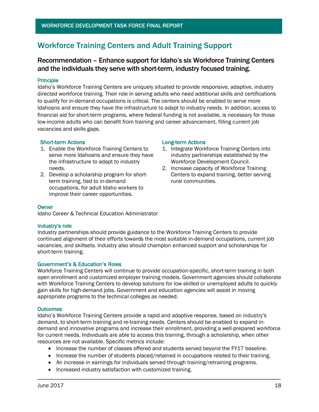## Workforce Training Centers and Adult Training Support

### Recommendation – Enhance support for Idaho's six Workforce Training Centers and the individuals they serve with short-term, industry focused training.

#### Principle

Idaho's Workforce Training Centers are uniquely situated to provide responsive, adaptive, industry directed workforce training. Their role in serving adults who need additional skills and certifications to qualify for in-demand occupations is critical. The centers should be enabled to serve more Idahoans and ensure they have the infrastructure to adapt to industry needs. In addition, access to financial aid for short-term programs, where federal funding is not available, is necessary for those low-income adults who can benefit from training and career advancement, filling current job vacancies and skills gaps.

#### Short-term Actions **Long-term Actions**

- 1. Enable the Workforce Training Centers to serve more Idahoans and ensure they have the infrastructure to adapt to industry needs.
- 2. Develop a scholarship program for shortterm training, tied to in-demand occupations, for adult Idaho workers to improve their career opportunities.

- 1. Integrate Workforce Training Centers into industry partnerships established by the Workforce Development Council.
- 2. Increase capacity of Workforce Training Centers to expand training, better serving rural communities.

#### **Owner**

Idaho Career & Technical Education Administrator

#### Industry's role

Industry partnerships should provide guidance to the Workforce Training Centers to provide continued alignment of their efforts towards the most suitable in-demand occupations, current job vacancies, and skillsets. Industry also should champion enhanced support and scholarships for short-term training.

#### Government's & Education's Roles

Workforce Training Centers will continue to provide occupation-specific, short-term training in both open enrollment and customized employer training models. Government agencies should collaborate with Workforce Training Centers to develop solutions for low-skilled or unemployed adults to quickly gain skills for high-demand jobs. Government and education agencies will assist in moving appropriate programs to the technical colleges as needed.

#### **Outcomes**

Idaho's Workforce Training Centers provide a rapid and adaptive response, based on industry's demand, to short-term training and re-training needs. Centers should be enabled to expand indemand and innovative programs and increase their enrollment, providing a well-prepared workforce for current needs. Individuals are able to access this training, through a scholarship, when other resources are not available. Specific metrics include:

- Increase the number of classes offered and students served beyond the FY17 baseline.
- Increase the number of students placed/retained in occupations related to their training.
- An increase in earnings for individuals served through training/retraining programs.
- Increased industry satisfaction with customized training.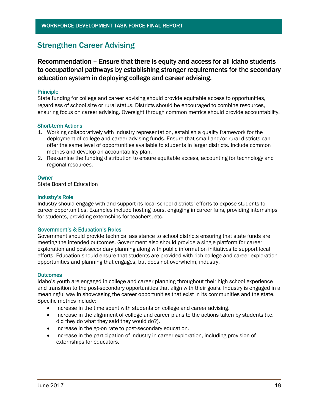## Strengthen Career Advising

Recommendation – Ensure that there is equity and access for all Idaho students to occupational pathways by establishing stronger requirements for the secondary education system in deploying college and career advising.

#### Principle

State funding for college and career advising should provide equitable access to opportunities, regardless of school size or rural status. Districts should be encouraged to combine resources, ensuring focus on career advising. Oversight through common metrics should provide accountability.

#### Short-term Actions

- 1. Working collaboratively with industry representation, establish a quality framework for the deployment of college and career advising funds. Ensure that small and/or rural districts can offer the same level of opportunities available to students in larger districts. Include common metrics and develop an accountability plan.
- 2. Reexamine the funding distribution to ensure equitable access, accounting for technology and regional resources.

#### **Owner**

State Board of Education

#### Industry's Role

Industry should engage with and support its local school districts' efforts to expose students to career opportunities. Examples include hosting tours, engaging in career fairs, providing internships for students, providing externships for teachers, etc.

#### Government's & Education's Roles

Government should provide technical assistance to school districts ensuring that state funds are meeting the intended outcomes. Government also should provide a single platform for career exploration and post-secondary planning along with public information initiatives to support local efforts. Education should ensure that students are provided with rich college and career exploration opportunities and planning that engages, but does not overwhelm, industry.

#### **Outcomes**

Idaho's youth are engaged in college and career planning throughout their high school experience and transition to the post-secondary opportunities that align with their goals. Industry is engaged in a meaningful way in showcasing the career opportunities that exist in its communities and the state. Specific metrics include:

- Increase in the time spent with students on college and career advising.
- Increase in the alignment of college and career plans to the actions taken by students (i.e. did they do what they said they would do?).
- Increase in the go-on rate to post-secondary education.
- Increase in the participation of industry in career exploration, including provision of externships for educators.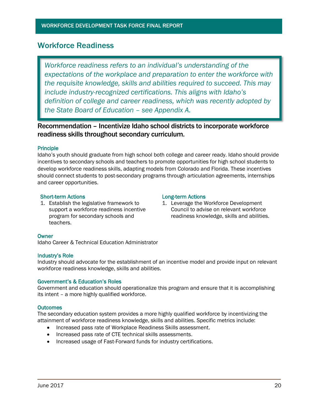### Workforce Readiness

*Workforce readiness refers to an individual's understanding of the expectations of the workplace and preparation to enter the workforce with the requisite knowledge, skills and abilities required to succeed. This may include industry-recognized certifications. This aligns with Idaho's definition of college and career readiness, which was recently adopted by the State Board of Education – see Appendix A.*

### Recommendation – Incentivize Idaho school districts to incorporate workforce readiness skills throughout secondary curriculum.

#### **Principle**

Idaho's youth should graduate from high school both college and career ready. Idaho should provide incentives to secondary schools and teachers to promote opportunities for high school students to develop workforce readiness skills, adapting models from Colorado and Florida. These incentives should connect students to post-secondary programs through articulation agreements, internships and career opportunities.

#### Short-term Actions **Long-term Actions**

1. Establish the legislative framework to support a workforce readiness incentive program for secondary schools and teachers.

1. Leverage the Workforce Development Council to advise on relevant workforce readiness knowledge, skills and abilities.

#### **Owner**

Idaho Career & Technical Education Administrator

#### Industry's Role

Industry should advocate for the establishment of an incentive model and provide input on relevant workforce readiness knowledge, skills and abilities.

#### Government's & Education's Roles

Government and education should operationalize this program and ensure that it is accomplishing its intent – a more highly qualified workforce.

#### **Outcomes**

The secondary education system provides a more highly qualified workforce by incentivizing the attainment of workforce readiness knowledge, skills and abilities. Specific metrics include:

- Increased pass rate of Workplace Readiness Skills assessment.
- Increased pass rate of CTE technical skills assessments.
- Increased usage of Fast-Forward funds for industry certifications.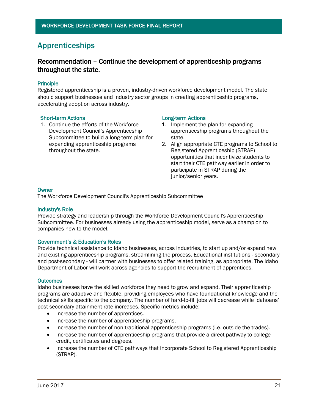## Apprenticeships

### Recommendation – Continue the development of apprenticeship programs throughout the state.

#### Principle

Registered apprenticeship is a proven, industry-driven workforce development model. The state should support businesses and industry sector groups in creating apprenticeship programs, accelerating adoption across industry.

#### Short-term Actions **Long-term Actions**

1. Continue the efforts of the Workforce Development Council's Apprenticeship Subcommittee to build a long-term plan for expanding apprenticeship programs throughout the state.

- 1. Implement the plan for expanding apprenticeship programs throughout the state.
- 2. Align appropriate CTE programs to School to Registered Apprenticeship (STRAP) opportunities that incentivize students to start their CTE pathway earlier in order to participate in STRAP during the junior/senior years.

#### **Owner**

The Workforce Development Council's Apprenticeship Subcommittee

#### Industry's Role

Provide strategy and leadership through the Workforce Development Council's Apprenticeship Subcommittee. For businesses already using the apprenticeship model, serve as a champion to companies new to the model.

#### Government's & Education's Roles

Provide technical assistance to Idaho businesses, across industries, to start up and/or expand new and existing apprenticeship programs, streamlining the process. Educational institutions - secondary and post-secondary - will partner with businesses to offer related training, as appropriate. The Idaho Department of Labor will work across agencies to support the recruitment of apprentices.

#### **Outcomes**

Idaho businesses have the skilled workforce they need to grow and expand. Their apprenticeship programs are adaptive and flexible, providing employees who have foundational knowledge and the technical skills specific to the company. The number of hard-to-fill jobs will decrease while Idahoans' post-secondary attainment rate increases. Specific metrics include:

- Increase the number of apprentices.
- Increase the number of apprenticeship programs.
- Increase the number of non-traditional apprenticeship programs (i.e. outside the trades).
- Increase the number of apprenticeship programs that provide a direct pathway to college credit, certificates and degrees.
- Increase the number of CTE pathways that incorporate School to Registered Apprenticeship (STRAP).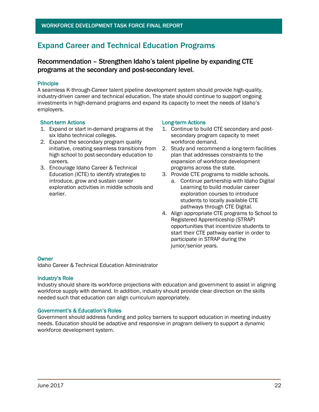## Expand Career and Technical Education Programs

### Recommendation – Strengthen Idaho's talent pipeline by expanding CTE programs at the secondary and post-secondary level.

#### Principle

A seamless K-through-Career talent pipeline development system should provide high-quality, industry-driven career and technical education. The state should continue to support ongoing investments in high-demand programs and expand its capacity to meet the needs of Idaho's employers.

#### Short-term Actions **Long-term Actions**

- 1. Expand or start in-demand programs at the six Idaho technical colleges.
- 2. Expand the secondary program quality initiative, creating seamless transitions from high school to post-secondary education to careers.
- 3. Encourage Idaho Career & Technical Education (ICTE) to identify strategies to introduce, grow and sustain career exploration activities in middle schools and earlier.

- 1. Continue to build CTE secondary and postsecondary program capacity to meet workforce demand.
- 2. Study and recommend a long-term facilities plan that addresses constraints to the expansion of workforce development programs across the state.
- 3. Provide CTE programs to middle schools.
	- a. Continue partnership with Idaho Digital Learning to build modular career exploration courses to introduce students to locally available CTE pathways through CTE Digital.
- 4. Align appropriate CTE programs to School to Registered Apprenticeship (STRAP) opportunities that incentivize students to start their CTE pathway earlier in order to participate in STRAP during the junior/senior years.

#### **Owner**

Idaho Career & Technical Education Administrator

#### Industry's Role

Industry should share its workforce projections with education and government to assist in aligning workforce supply with demand. In addition, industry should provide clear direction on the skills needed such that education can align curriculum appropriately.

#### Government's & Education's Roles

Government should address funding and policy barriers to support education in meeting industry needs. Education should be adaptive and responsive in program delivery to support a dynamic workforce development system.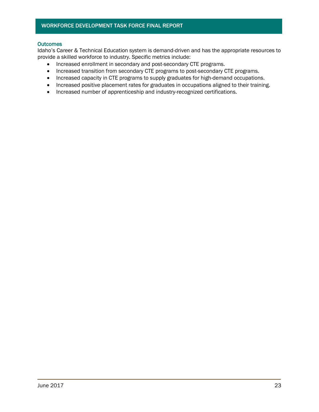#### **Outcomes**

Idaho's Career & Technical Education system is demand-driven and has the appropriate resources to provide a skilled workforce to industry. Specific metrics include:

- Increased enrollment in secondary and post-secondary CTE programs.
- Increased transition from secondary CTE programs to post-secondary CTE programs.
- Increased capacity in CTE programs to supply graduates for high-demand occupations.
- Increased positive placement rates for graduates in occupations aligned to their training.
- Increased number of apprenticeship and industry-recognized certifications.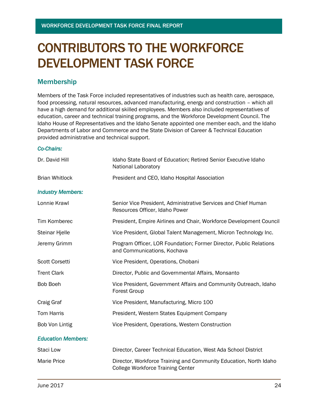# CONTRIBUTORS TO THE WORKFORCE DEVELOPMENT TASK FORCE

### Membership

Members of the Task Force included representatives of industries such as health care, aerospace, food processing, natural resources, advanced manufacturing, energy and construction – which all have a high demand for additional skilled employees. Members also included representatives of education, career and technical training programs, and the Workforce Development Council. The Idaho House of Representatives and the Idaho Senate appointed one member each, and the Idaho Departments of Labor and Commerce and the State Division of Career & Technical Education provided administrative and technical support.

#### *Co-Chairs:*

| Dr. David Hill            | Idaho State Board of Education; Retired Senior Executive Idaho<br>National Laboratory             |
|---------------------------|---------------------------------------------------------------------------------------------------|
| <b>Brian Whitlock</b>     | President and CEO, Idaho Hospital Association                                                     |
| <b>Industry Members:</b>  |                                                                                                   |
| Lonnie Krawl              | Senior Vice President, Administrative Services and Chief Human<br>Resources Officer, Idaho Power  |
| Tim Komberec              | President, Empire Airlines and Chair, Workforce Development Council                               |
| <b>Steinar Hjelle</b>     | Vice President, Global Talent Management, Micron Technology Inc.                                  |
| Jeremy Grimm              | Program Officer, LOR Foundation; Former Director, Public Relations<br>and Communications, Kochava |
| <b>Scott Corsetti</b>     | Vice President, Operations, Chobani                                                               |
| <b>Trent Clark</b>        | Director, Public and Governmental Affairs, Monsanto                                               |
| <b>Bob Boeh</b>           | Vice President, Government Affairs and Community Outreach, Idaho<br><b>Forest Group</b>           |
| Craig Graf                | Vice President, Manufacturing, Micro 100                                                          |
| Tom Harris                | President, Western States Equipment Company                                                       |
| Bob Von Lintig            | Vice President, Operations, Western Construction                                                  |
| <b>Education Members:</b> |                                                                                                   |
| Staci Low                 | Director, Career Technical Education, West Ada School District                                    |
| <b>Marie Price</b>        | Director, Workforce Training and Community Education, North Idaho                                 |

College Workforce Training Center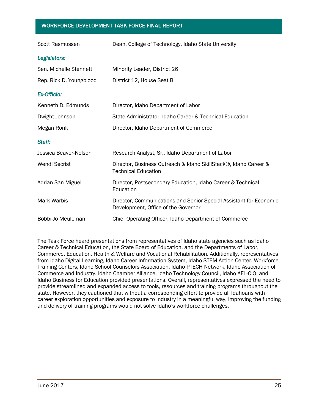| Scott Rasmussen         | Dean, College of Technology, Idaho State University                                                       |
|-------------------------|-----------------------------------------------------------------------------------------------------------|
| Legislators:            |                                                                                                           |
| Sen. Michelle Stennett  | Minority Leader, District 26                                                                              |
| Rep. Rick D. Youngblood | District 12, House Seat B                                                                                 |
| <b>Ex-Officio:</b>      |                                                                                                           |
| Kenneth D. Edmunds      | Director, Idaho Department of Labor                                                                       |
| Dwight Johnson          | State Administrator, Idaho Career & Technical Education                                                   |
| Megan Ronk              | Director, Idaho Department of Commerce                                                                    |
| Staff:                  |                                                                                                           |
| Jessica Beaver-Nelson   | Research Analyst, Sr., Idaho Department of Labor                                                          |
| <b>Wendi Secrist</b>    | Director, Business Outreach & Idaho SkillStack®, Idaho Career &<br><b>Technical Education</b>             |
| Adrian San Miguel       | Director, Postsecondary Education, Idaho Career & Technical<br>Education                                  |
| <b>Mark Warbis</b>      | Director, Communications and Senior Special Assistant for Economic<br>Development, Office of the Governor |
| Bobbi-Jo Meuleman       | Chief Operating Officer, Idaho Department of Commerce                                                     |

The Task Force heard presentations from representatives of Idaho state agencies such as Idaho Career & Technical Education, the State Board of Education, and the Departments of Labor, Commerce, Education, Health & Welfare and Vocational Rehabilitation. Additionally, representatives from Idaho Digital Learning, Idaho Career Information System, Idaho STEM Action Center, Workforce Training Centers, Idaho School Counselors Association, Idaho PTECH Network, Idaho Association of Commerce and Industry, Idaho Chamber Alliance, Idaho Technology Council, Idaho AFL-CIO, and Idaho Business for Education provided presentations. Overall, representatives expressed the need to provide streamlined and expanded access to tools, resources and training programs throughout the state. However, they cautioned that without a corresponding effort to provide all Idahoans with career exploration opportunities and exposure to industry in a meaningful way, improving the funding and delivery of training programs would not solve Idaho's workforce challenges.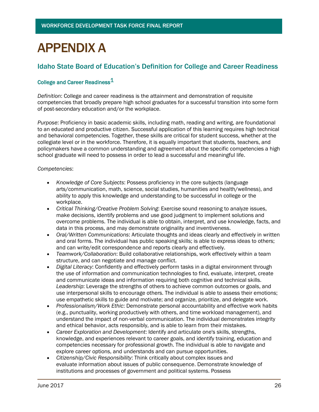# APPENDIX A

### Idaho State Board of Education's Definition for College and Career Readiness

### College and Career Readiness<sup>1</sup>

*Definition*: College and career readiness is the attainment and demonstration of requisite competencies that broadly prepare high school graduates for a successful transition into some form of post-secondary education and/or the workplace.

*Purpose*: Proficiency in basic academic skills, including math, reading and writing, are foundational to an educated and productive citizen. Successful application of this learning requires high technical and behavioral competencies. Together, these skills are critical for student success, whether at the collegiate level or in the workforce. Therefore, it is equally important that students, teachers, and policymakers have a common understanding and agreement about the specific competencies a high school graduate will need to possess in order to lead a successful and meaningful life.

#### *Competencies*:

- *Knowledge of Core Subjects*: Possess proficiency in the core subjects (language arts/communication, math, science, social studies, humanities and health/wellness), and ability to apply this knowledge and understanding to be successful in college or the workplace.
- *Critical Thinking/Creative Problem Solving*: Exercise sound reasoning to analyze issues, make decisions, identify problems and use good judgment to implement solutions and overcome problems. The individual is able to obtain, interpret, and use knowledge, facts, and data in this process, and may demonstrate originality and inventiveness.
- *Oral/Written Communications*: Articulate thoughts and ideas clearly and effectively in written and oral forms. The individual has public speaking skills; is able to express ideas to others; and can write/edit correspondence and reports clearly and effectively.
- *Teamwork/Collaboration*: Build collaborative relationships, work effectively within a team structure, and can negotiate and manage conflict.
- *Digital Literacy*: Confidently and effectively perform tasks in a digital environment through the use of information and communication technologies to find, evaluate, interpret, create and communicate ideas and information requiring both cognitive and technical skills. *Leadership*: Leverage the strengths of others to achieve common outcomes or goals, and use interpersonal skills to encourage others. The individual is able to assess their emotions; use empathetic skills to guide and motivate; and organize, prioritize, and delegate work.
- *Professionalism/Work Ethic*: Demonstrate personal accountability and effective work habits (e.g., punctuality, working productively with others, and time workload management), and understand the impact of non-verbal communication. The individual demonstrates integrity and ethical behavior, acts responsibly, and is able to learn from their mistakes.
- *Career Exploration and Development*: Identify and articulate one's skills, strengths, knowledge, and experiences relevant to career goals, and identify training, education and competencies necessary for professional growth. The individual is able to navigate and explore career options, and understands and can pursue opportunities.
- *Citizenship/Civic Responsibility*: Think critically about complex issues and evaluate information about issues of public consequence. Demonstrate knowledge of institutions and processes of government and political systems. Possess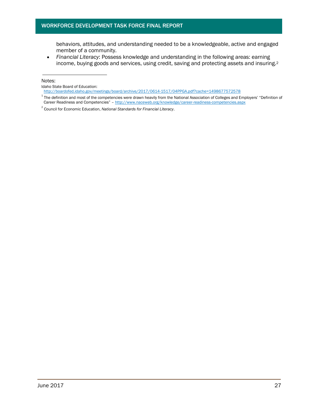behaviors, attitudes, and understanding needed to be a knowledgeable, active and engaged member of a community.

 *Financial Literacy*: Possess knowledge and understanding in the following areas: earning income, buying goods and services, using credit, saving and protecting assets and insuring.<sup>2</sup>

Notes:

Idaho State Board of Education:

http://boardofed.idaho.gov/meetings/board/archive/2017/0614-1517/04PPGA.pdf?cache=1498677572578

 $1$  The definition and most of the competencies were drawn heavily from the National Association of Colleges and Employers' "Definition of Career Readiness and Competencies" – <http://www.naceweb.org/knowledge/career-readiness-competencies.aspx>

<sup>2</sup> Council for Economic Education, *National Standards for Financial Literacy*.